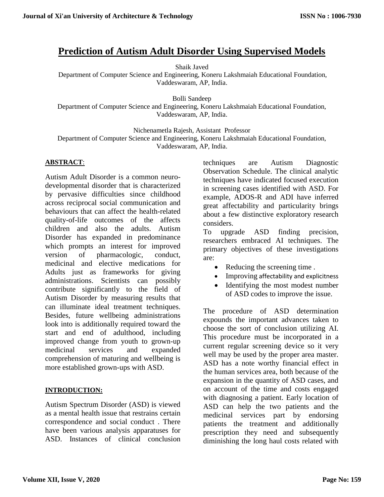# **Prediction of Autism Adult Disorder Using Supervised Models**

Shaik Javed

Department of Computer Science and Engineering, Koneru Lakshmaiah Educational Foundation, Vaddeswaram, AP, India.

Bolli Sandeep

Department of Computer Science and Engineering, Koneru Lakshmaiah Educational Foundation, Vaddeswaram, AP, India.

Nichenametla Rajesh, Assistant Professor

Department of Computer Science and Engineering, Koneru Lakshmaiah Educational Foundation, Vaddeswaram, AP, India.

#### **ABSTRACT**:

Autism Adult Disorder is a common neurodevelopmental disorder that is characterized by pervasive difficulties since childhood across reciprocal social communication and behaviours that can affect the health-related quality-of-life outcomes of the affects children and also the adults. Autism Disorder has expanded in predominance which prompts an interest for improved version of pharmacologic, conduct, medicinal and elective medications for Adults just as frameworks for giving administrations. Scientists can possibly contribute significantly to the field of Autism Disorder by measuring results that can illuminate ideal treatment techniques. Besides, future wellbeing administrations look into is additionally required toward the start and end of adulthood, including improved change from youth to grown-up medicinal services and expanded comprehension of maturing and wellbeing is more established grown-ups with ASD.

#### **INTRODUCTION:**

Autism Spectrum Disorder (ASD) is viewed as a mental health issue that restrains certain correspondence and social conduct . There have been various analysis apparatuses for ASD. Instances of clinical conclusion

techniques are Autism Diagnostic Observation Schedule. The clinical analytic techniques have indicated focused execution in screening cases identified with ASD. For example, ADOS-R and ADI have inferred great affectability and particularity brings about a few distinctive exploratory research considers.

To upgrade ASD finding precision, researchers embraced AI techniques. The primary objectives of these investigations are:

- Reducing the screening time .
- Improving affectability and explicitness
- Identifying the most modest number of ASD codes to improve the issue.

The procedure of ASD determination expounds the important advances taken to choose the sort of conclusion utilizing AI. This procedure must be incorporated in a current regular screening device so it very well may be used by the proper area master. ASD has a note worthy financial effect in the human services area, both because of the expansion in the quantity of ASD cases, and on account of the time and costs engaged with diagnosing a patient. Early location of ASD can help the two patients and the medicinal services part by endorsing patients the treatment and additionally prescription they need and subsequently diminishing the long haul costs related with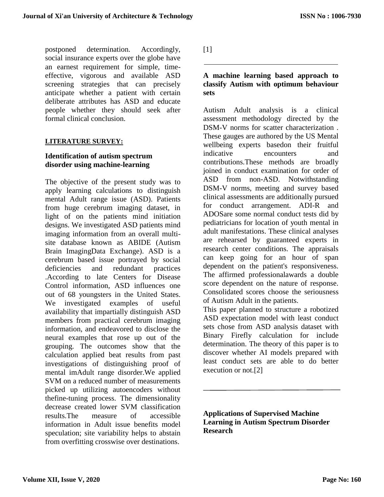postponed determination. Accordingly, social insurance experts over the globe have an earnest requirement for simple, timeeffective, vigorous and available ASD screening strategies that can precisely anticipate whether a patient with certain deliberate attributes has ASD and educate people whether they should seek after formal clinical conclusion.

## **LITERATURE SURVEY:**

## **Identification of autism spectrum disorder using machine-learning**

The objective of the present study was to apply learning calculations to distinguish mental Adult range issue (ASD). Patients from huge cerebrum imaging dataset, in light of on the patients mind initiation designs. We investigated ASD patients mind imaging information from an overall multisite database known as ABIDE (Autism Brain ImagingData Exchange). ASD is a cerebrum based issue portrayed by social deficiencies and redundant practices .According to late Centers for Disease Control information, ASD influences one out of 68 youngsters in the United States. We investigated examples of useful availability that impartially distinguish ASD members from practical cerebrum imaging information, and endeavored to disclose the neural examples that rose up out of the grouping. The outcomes show that the calculation applied beat results from past investigations of distinguishing proof of mental imAdult range disorder.We applied SVM on a reduced number of measurements picked up utilizing autoencoders without thefine-tuning process. The dimensionality decrease created lower SVM classification results.The measure of accessible information in Adult issue benefits model speculation; site variability helps to abstain from overfitting crosswise over destinations.

 $[1]$ 

## **A machine learning based approach to classify Autism with optimum behaviour sets**

Autism Adult analysis is a clinical assessment methodology directed by the DSM-V norms for scatter characterization . These gauges are authored by the US Mental wellbeing experts basedon their fruitful indicative encounters and contributions.These methods are broadly joined in conduct examination for order of ASD from non-ASD. Notwithstanding DSM-V norms, meeting and survey based clinical assessments are additionally pursued for conduct arrangement. ADI-R and ADOSare some normal conduct tests did by pediatricians for location of youth mental in adult manifestations. These clinical analyses are rehearsed by guaranteed experts in research center conditions. The appraisals can keep going for an hour of span dependent on the patient's responsiveness. The affirmed professionalawards a double score dependent on the nature of response. Consolidated scores choose the seriousness of Autism Adult in the patients.

This paper planned to structure a robotized ASD expectation model with least conduct sets chose from ASD analysis dataset with Binary Firefly calculation for include determination. The theory of this paper is to discover whether AI models prepared with least conduct sets are able to do better execution or not.[2]

**Applications of Supervised Machine Learning in Autism Spectrum Disorder Research**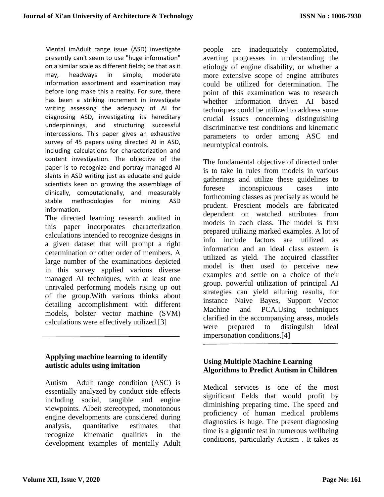Mental imAdult range issue (ASD) investigate presently can't seem to use "huge information" on a similar scale as different fields; be that as it may, headways in simple, moderate information assortment and examination may before long make this a reality. For sure, there has been a striking increment in investigate writing assessing the adequacy of AI for diagnosing ASD, investigating its hereditary underpinnings, and structuring successful intercessions. This paper gives an exhaustive survey of 45 papers using directed AI in ASD, including calculations for characterization and content investigation. The objective of the paper is to recognize and portray managed AI slants in ASD writing just as educate and guide scientists keen on growing the assemblage of clinically, computationally, and measurably stable methodologies for mining ASD information.

The directed learning research audited in this paper incorporates characterization calculations intended to recognize designs in a given dataset that will prompt a right determination or other order of members. A large number of the examinations depicted in this survey applied various diverse managed AI techniques, with at least one unrivaled performing models rising up out of the group.With various thinks about detailing accomplishment with different models, bolster vector machine (SVM) calculations were effectively utilized.[3]

# **Applying machine learning to identify autistic adults using imitation**

Autism Adult range condition (ASC) is essentially analyzed by conduct side effects including social, tangible and engine viewpoints. Albeit stereotyped, monotonous engine developments are considered during analysis, quantitative estimates that recognize kinematic qualities in the development examples of mentally Adult people are inadequately contemplated, averting progresses in understanding the etiology of engine disability, or whether a more extensive scope of engine attributes could be utilized for determination. The point of this examination was to research whether information driven AI based techniques could be utilized to address some crucial issues concerning distinguishing discriminative test conditions and kinematic parameters to order among ASC and neurotypical controls.

The fundamental objective of directed order is to take in rules from models in various gatherings and utilize these guidelines to foresee inconspicuous cases into forthcoming classes as precisely as would be prudent. Prescient models are fabricated dependent on watched attributes from models in each class. The model is first prepared utilizing marked examples. A lot of info include factors are utilized as information and an ideal class esteem is utilized as yield. The acquired classifier model is then used to perceive new examples and settle on a choice of their group. powerful utilization of principal AI strategies can yield alluring results, for instance Naive Bayes, Support Vector Machine and PCA.Using techniques clarified in the accompanying areas, models were prepared to distinguish ideal impersonation conditions.[4]

# **Using Multiple Machine Learning Algorithms to Predict Autism in Children**

Medical services is one of the most significant fields that would profit by diminishing preparing time. The speed and proficiency of human medical problems diagnostics is huge. The present diagnosing time is a gigantic test in numerous wellbeing conditions, particularly Autism . It takes as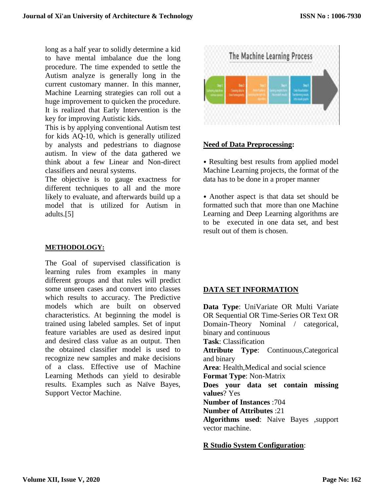long as a half year to solidly determine a kid to have mental imbalance due the long procedure. The time expended to settle the Autism analyze is generally long in the current customary manner. In this manner, Machine Learning strategies can roll out a huge improvement to quicken the procedure. It is realized that Early Intervention is the key for improving Autistic kids.

This is by applying conventional Autism test for kids AQ-10, which is generally utilized by analysts and pedestrians to diagnose autism. In view of the data gathered we think about a few Linear and Non-direct classifiers and neural systems.

The objective is to gauge exactness for different techniques to all and the more likely to evaluate, and afterwards build up a model that is utilized for Autism in adults.[5]

#### **METHODOLOGY:**

The Goal of supervised classification is learning rules from examples in many different groups and that rules will predict some unseen cases and convert into classes which results to accuracy. The Predictive models which are built on observed characteristics. At beginning the model is trained using labeled samples. Set of input feature variables are used as desired input and desired class value as an output. Then the obtained classifier model is used to recognize new samples and make decisions of a class. Effective use of Machine Learning Methods can yield to desirable results. Examples such as Naïve Bayes, Support Vector Machine.



## **Need of Data Preprocessing:**

• Resulting best results from applied model Machine Learning projects, the format of the data has to be done in a proper manner

• Another aspect is that data set should be formatted such that more than one Machine Learning and Deep Learning algorithms are to be executed in one data set, and best result out of them is chosen.

# **DATA SET INFORMATION**

**Data Type**: UniVariate OR Multi Variate OR Sequential OR Time-Series OR Text OR Domain-Theory Nominal / categorical, binary and continuous **Task**: Classification **Attribute Type**: Continuous,Categorical and binary **Area**: Health,Medical and social science **Format Type**: Non-Matrix **Does your data set contain missing values**? Yes **Number of Instances** :704 **Number of Attributes** :21 **Algorithms used**: Naive Bayes ,support vector machine.

#### **R Studio System Configuration**: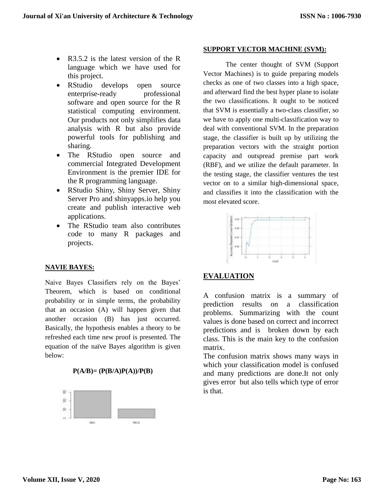- R3.5.2 is the latest version of the R language which we have used for this project.
- RStudio develops open source enterprise-ready professional software and open source for the R statistical computing environment. Our products not only simplifies data analysis with R but also provide powerful tools for publishing and sharing.
- The RStudio open source and commercial Integrated Development Environment is the premier IDE for the R programming language.
- RStudio Shiny, Shiny Server, Shiny Server Pro and shinyapps.io help you create and publish interactive web applications.
- The RStudio team also contributes code to many R packages and projects.

# **SUPPORT VECTOR MACHINE (SVM):**

The center thought of SVM (Support Vector Machines) is to guide preparing models checks as one of two classes into a high space, and afterward find the best hyper plane to isolate the two classifications. It ought to be noticed that SVM is essentially a two-class classifier, so we have to apply one multi-classification way to deal with conventional SVM. In the preparation stage, the classifier is built up by utilizing the preparation vectors with the straight portion capacity and outspread premise part work (RBF), and we utilize the default parameter. In the testing stage, the classifier ventures the test vector on to a similar high-dimensional space, and classifies it into the classification with the most elevated score.



# **NAVIE BAYES:**

Naive Bayes Classifiers rely on the Bayes' Theorem, which is based on conditional probability or in simple terms, the probability that an occasion (A) will happen given that another occasion (B) has just occurred. Basically, the hypothesis enables a theory to be refreshed each time new proof is presented. The equation of the naïve Bayes algorithm is given below:





# **EVALUATION**

A confusion matrix is a summary of prediction results on a classification problems. Summarizing with the count values is done based on correct and incorrect predictions and is broken down by each class. This is the main key to the confusion matrix.

The confusion matrix shows many ways in which your classification model is confused and many predictions are done.It not only gives error but also tells which type of error is that.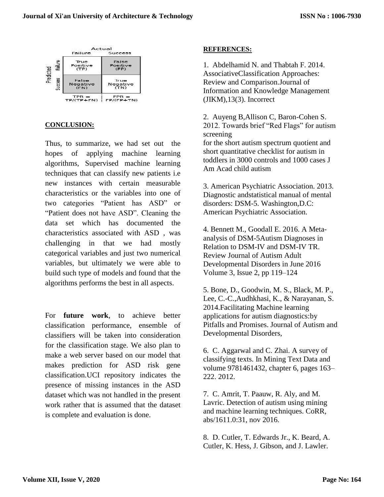

#### **CONCLUSION:**

Thus, to summarize, we had set out the hopes of applying machine learning algorithms, Supervised machine learning techniques that can classify new patients i.e new instances with certain measurable characteristics or the variables into one of two categories "Patient has ASD" or "Patient does not have ASD". Cleaning the data set which has documented the characteristics associated with ASD , was challenging in that we had mostly categorical variables and just two numerical variables, but ultimately we were able to build such type of models and found that the algorithms performs the best in all aspects.

For **future work**, to achieve better classification performance, ensemble of classifiers will be taken into consideration for the classification stage. We also plan to make a web server based on our model that makes prediction for ASD risk gene classification.UCI repository indicates the presence of missing instances in the ASD dataset which was not handled in the present work rather that is assumed that the dataset is complete and evaluation is done.

#### **REFERENCES:**

1. Abdelhamid N. and Thabtah F. 2014. AssociativeClassification Approaches: Review and Comparison.Journal of Information and Knowledge Management (JIKM),13(3). Incorrect

2. Auyeng B,Allison C, Baron-Cohen S. 2012. Towards brief "Red Flags" for autism screening for the short autism spectrum quotient and short quantitative checklist for autism in toddlers in 3000 controls and 1000 cases J Am Acad child autism

3. American Psychiatric Association. 2013. Diagnostic andstatistical manual of mental disorders: DSM-5. Washington,D.C: American Psychiatric Association.

4. Bennett M., Goodall E. 2016. A Metaanalysis of DSM-5Autism Diagnoses in Relation to DSM-IV and DSM-IV TR. Review Journal of Autism Adult Developmental Disorders in June 2016 Volume 3, Issue 2, pp 119–124

5. Bone, D., Goodwin, M. S., Black, M. P., Lee, C.-C.,Audhkhasi, K., & Narayanan, S. 2014.Facilitating Machine learning applications for autism diagnostics:by Pitfalls and Promises. Journal of Autism and Developmental Disorders,

6. C. Aggarwal and C. Zhai. A survey of classifying texts. In Mining Text Data and volume 9781461432, chapter 6, pages 163– 222. 2012.

7. C. Amrit, T. Paauw, R. Aly, and M. Lavric. Detection of autism using mining and machine learning techniques. CoRR, abs/1611.0:31, nov 2016.

8. D. Cutler, T. Edwards Jr., K. Beard, A. Cutler, K. Hess, J. Gibson, and J. Lawler.